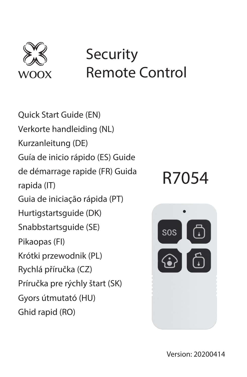

# **Security** Remote Control

Quick Start Guide (EN) Verkorte handleiding (NL) Kurzanleitung (DE) Guía de inicio rápido (ES) Guide de démarrage rapide (FR) Guida rapida (IT) Guia de iniciação rápida (PT) Hurtigstartsguide (DK) Snabbstartsquide (SE) Pikaopas (FI) Krótki przewodnik (PL) Rychlá příručka (CZ) Príručka pre rýchly štart (SK) Gyors útmutató (HU) Ghid rapid (RO)

# R7054

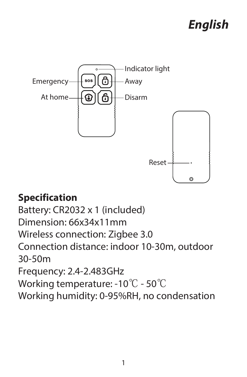# *English*



#### **Specification**

Battery: CR2032 x 1 (included) Dimension: 66x34x11mm Wireless connection: Zigbee 3.0 Connection distance: indoor 10-30m, outdoor 30-50m Frequency: 2.4-2.483GHz Working temperature: -10℃ - 50℃ Working humidity: 0-95%RH, no condensation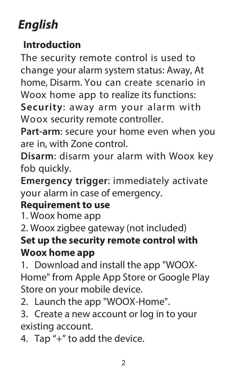# *English*

#### **Introduction**

The security remote control is used to change your alarm system status: Away, At home, Disarm. You can create scenario in Woox home app to realize its functions: **Security**: away arm your alarm with Woox security remote controller.

**Part-arm**: secure your home even when you are in, with Zone control.

**Disarm**: disarm your alarm with Woox key fob quickly.

**Emergency trigger**: immediately activate your alarm in case of emergency.

#### **Requirement to use**

1. Woox home app

2. Woox zigbee gateway (not included)

#### **Set up the security remote control with Woox home app**

1. Download and install the app "WOOX-Home" from Apple App Store or Google Play Store on your mobile device.

2. Launch the app "WOOX-Home".

3. Create a new account or log in to your existing account.

4. Tap "+" to add the device.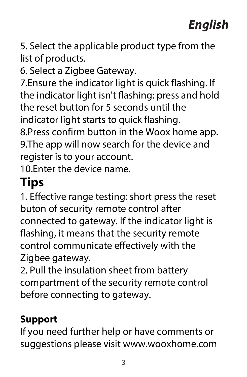5. Select the applicable product type from the list of products.

6. Select a Zigbee Gateway.

7.Ensure the indicator light is quick flashing. If the indicator light isn't flashing: press and hold the reset button for 5 seconds until the indicator light starts to quick flashing. 8.Press confirm button in the Woox home app. 9.The app will now search for the device and register is to your account.

10.Enter the device name.

# **Tips**

1. Effective range testing: short press the reset buton of security remote control after connected to gateway. If the indicator light is flashing, it means that the security remote control communicate effectively with the Zigbee gateway.

2. Pull the insulation sheet from battery compartment of the security remote control before connecting to gateway.

#### **Support**

If you need further help or have comments or suggestions please visit www.wooxhome.com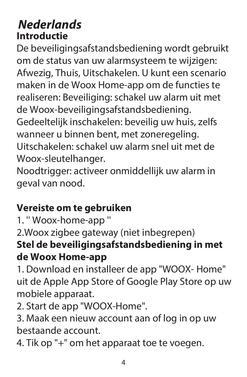#### **Nederlands Introductie**

De beveiligingsafstandsbediening wordt gebruikt om de status van uw alarmsysteem te wijzigen: Afwezig, Thuis, Uitschakelen. U kunt een scenario maken in de Woox Home-app om de functies te realiseren: Beveiliging: schakel uw alarm uit met de Woox-beveiligingsafstandsbediening. Gedeeltelijk inschakelen: beveilig uw huis, zelfs wanneer u binnen bent, met zoneregeling. Uitschakelen: schakel uw alarm snel uit met de Woox-sleutelhanger.

Noodtrigger: activeer onmiddellijk uw alarm in geval van nood.

#### **Vereiste om te gebruiken**

1. '' Woox-home-app ''

2.Woox zigbee gateway (niet inbegrepen)

#### **Stel de beveiligingsafstandsbediening in met de Woox Home-app**

1. Download en installeer de app "WOOX- Home" uit de Apple App Store of Google Play Store op uw mobiele apparaat.

2. Start de app "WOOX-Home".

3. Maak een nieuw account aan of log in op uw bestaande account.

4. Tik op "+" om het apparaat toe te voegen.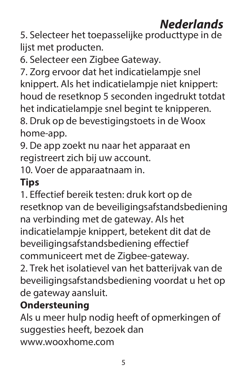# **Nederlands**

5. Selecteer het toepasselijke producttype in de lijst met producten.

6. Selecteer een Zigbee Gateway.

7. Zorg ervoor dat het indicatielampje snel knippert. Als het indicatielampje niet knippert: houd de resetknop 5 seconden ingedrukt totdat het indicatielampje snel begint te knipperen. 8. Druk op de bevestigingstoets in de Woox home-app.

9. De app zoekt nu naar het apparaat en registreert zich bij uw account.

10. Voer de apparaatnaam in.

#### **Tips**

1. Effectief bereik testen: druk kort op de resetknop van de beveiligingsafstandsbediening na verbinding met de gateway. Als het indicatielampje knippert, betekent dit dat de beveiligingsafstandsbediening effectief communiceert met de Zigbee-gateway. 2. Trek het isolatievel van het batterijvak van de beveiligingsafstandsbediening voordat u het op de gateway aansluit.

#### **Ondersteuning**

Als u meer hulp nodig heeft of opmerkingen of suggesties heeft, bezoek dan www.wooxhome.com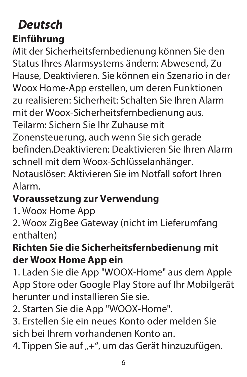#### **Deutsch Einführung**

Mit der Sicherheitsfernbedienung können Sie den Status Ihres Alarmsystems ändern: Abwesend, Zu Hause, Deaktivieren. Sie können ein Szenario in der Woox Home-App erstellen, um deren Funktionen zu realisieren: Sicherheit: Schalten Sie Ihren Alarm mit der Woox-Sicherheitsfernbedienung aus. Teilarm: Sichern Sie Ihr Zuhause mit Zonensteuerung, auch wenn Sie sich gerade befinden.Deaktivieren: Deaktivieren Sie Ihren Alarm schnell mit dem Woox-Schlüsselanhänger. Notauslöser: Aktivieren Sie im Notfall sofort Ihren Alarm.

#### **Voraussetzung zur Verwendung**

1. Woox Home App

2. Woox ZigBee Gateway (nicht im Lieferumfang enthalten)

#### **Richten Sie die Sicherheitsfernbedienung mit der Woox Home App ein**

1. Laden Sie die App "WOOX-Home" aus dem Apple App Store oder Google Play Store auf Ihr Mobilgerät herunter und installieren Sie sie.

2. Starten Sie die App "WOOX-Home".

3. Erstellen Sie ein neues Konto oder melden Sie sich bei Ihrem vorhandenen Konto an.

4. Tippen Sie auf "+", um das Gerät hinzuzufügen.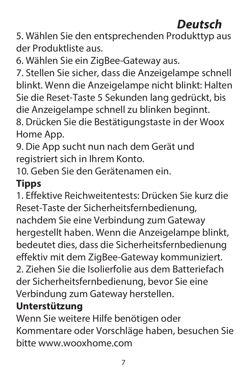### **Deutsch**

5. Wählen Sie den entsprechenden Produkttyp aus der Produktliste aus.

6. Wählen Sie ein ZigBee-Gateway aus.

7. Stellen Sie sicher, dass die Anzeigelampe schnell blinkt. Wenn die Anzeigelampe nicht blinkt: Halten Sie die Reset-Taste 5 Sekunden lang gedrückt, bis die Anzeigelampe schnell zu blinken beginnt. 8. Drücken Sie die Bestätigungstaste in der Woox Home App.

9. Die App sucht nun nach dem Gerät und registriert sich in Ihrem Konto.

10. Geben Sie den Gerätenamen ein.

#### **Tipps**

1. Effektive Reichweitentests: Drücken Sie kurz die Reset-Taste der Sicherheitsfernbedienung, nachdem Sie eine Verbindung zum Gateway hergestellt haben. Wenn die Anzeigelampe blinkt, bedeutet dies, dass die Sicherheitsfernbedienung effektiv mit dem ZigBee-Gateway kommuniziert. 2. Ziehen Sie die Isolierfolie aus dem Batteriefach der Sicherheitsfernbedienung, bevor Sie eine Verbindung zum Gateway herstellen.

#### **Unterstützung**

Wenn Sie weitere Hilfe benötigen oder Kommentare oder Vorschläge haben, besuchen Sie bitte www.wooxhome.com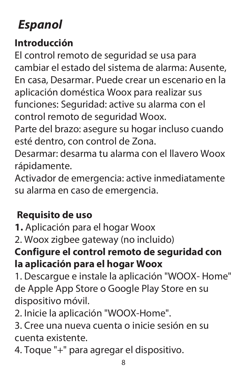# **Espanol**

#### **Introducción**

El control remoto de seguridad se usa para cambiar el estado del sistema de alarma: Ausente, En casa, Desarmar. Puede crear un escenario en la aplicación doméstica Woox para realizar sus funciones: Seguridad: active su alarma con el control remoto de seguridad Woox.

Parte del brazo: asegure su hogar incluso cuando esté dentro, con control de Zona.

Desarmar: desarma tu alarma con el llavero Woox rápidamente.

Activador de emergencia: active inmediatamente su alarma en caso de emergencia.

#### **Requisito de uso**

**1.** Aplicación para el hogar Woox

2. Woox zigbee gateway (no incluido)

#### **Configure el control remoto de seguridad con la aplicación para el hogar Woox**

1. Descargue e instale la aplicación "WOOX- Home" de Apple App Store o Google Play Store en su dispositivo móvil.

2. Inicie la aplicación "WOOX-Home".

3. Cree una nueva cuenta o inicie sesión en su cuenta existente.

4. Toque "+" para agregar el dispositivo.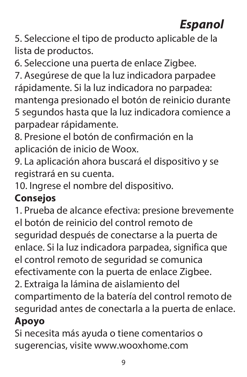# **Espanol**

5. Seleccione el tipo de producto aplicable de la lista de productos.

6. Seleccione una puerta de enlace Zigbee.

7. Asegúrese de que la luz indicadora parpadee rápidamente. Si la luz indicadora no parpadea: mantenga presionado el botón de reinicio durante 5 segundos hasta que la luz indicadora comience a parpadear rápidamente.

8. Presione el botón de confirmación en la aplicación de inicio de Woox.

9. La aplicación ahora buscará el dispositivo y se registrará en su cuenta.

10. Ingrese el nombre del dispositivo.

#### **Consejos**

1. Prueba de alcance efectiva: presione brevemente el botón de reinicio del control remoto de seguridad después de conectarse a la puerta de enlace. Si la luz indicadora parpadea, significa que el control remoto de seguridad se comunica efectivamente con la puerta de enlace Zigbee. 2. Extraiga la lámina de aislamiento del compartimento de la batería del control remoto de seguridad antes de conectarla a la puerta de enlace.

#### **Apoyo**

Si necesita más ayuda o tiene comentarios o sugerencias, visite www.wooxhome.com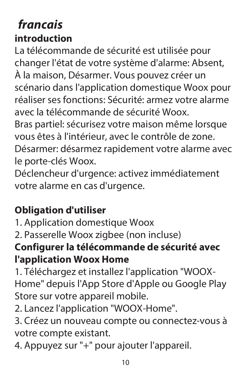### **francais introduction**

La télécommande de sécurité est utilisée pour changer l'état de votre système d'alarme: Absent, À la maison, Désarmer. Vous pouvez créer un scénario dans l'application domestique Woox pour réaliser ses fonctions: Sécurité: armez votre alarme avec la télécommande de sécurité Woox. Bras partiel: sécurisez votre maison même lorsque vous êtes à l'intérieur, avec le contrôle de zone. Désarmer: désarmez rapidement votre alarme avec le porte-clés Woox.

Déclencheur d'urgence: activez immédiatement votre alarme en cas d'urgence.

#### **Obligation d'utiliser**

1. Application domestique Woox

2. Passerelle Woox zigbee (non incluse)

#### **Configurer la télécommande de sécurité avec l'application Woox Home**

1. Téléchargez et installez l'application "WOOX-Home" depuis l'App Store d'Apple ou Google Play Store sur votre appareil mobile.

2. Lancez l'application "WOOX-Home".

3. Créez un nouveau compte ou connectez-vous à votre compte existant.

4. Appuyez sur "+" pour ajouter l'appareil.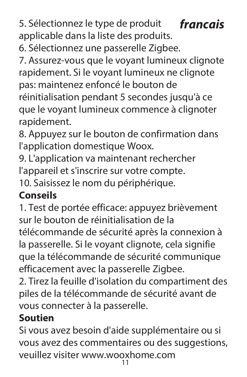**francais** 5. Sélectionnez le type de produit applicable dans la liste des produits.

6. Sélectionnez une passerelle Zigbee.

7. Assurez-vous que le voyant lumineux clignote rapidement. Si le voyant lumineux ne clignote pas: maintenez enfoncé le bouton de réinitialisation pendant 5 secondes jusqu'à ce que le voyant lumineux commence à clignoter rapidement.

8. Appuyez sur le bouton de confirmation dans l'application domestique Woox.

9. L'application va maintenant rechercher l'appareil et s'inscrire sur votre compte.

10. Saisissez le nom du périphérique.

#### **Conseils**

1. Test de portée efficace: appuyez brièvement sur le bouton de réinitialisation de la télécommande de sécurité après la connexion à la passerelle. Si le voyant clignote, cela signifie que la télécommande de sécurité communique efficacement avec la passerelle Zigbee.

2. Tirez la feuille d'isolation du compartiment des piles de la télécommande de sécurité avant de vous connecter à la passerelle.

#### **Soutien**

Si vous avez besoin d'aide supplémentaire ou si vous avez des commentaires ou des suggestions, veuillez visiter www.wooxhome.com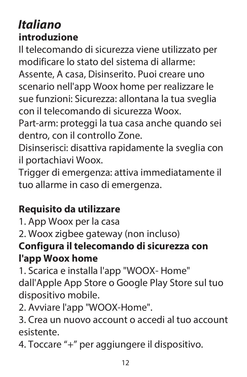### **Italiano introduzione**

Il telecomando di sicurezza viene utilizzato per modificare lo stato del sistema di allarme:

Assente, A casa, Disinserito. Puoi creare uno scenario nell'app Woox home per realizzare le sue funzioni: Sicurezza: allontana la tua sveglia con il telecomando di sicurezza Woox.

Part-arm: proteggi la tua casa anche quando sei dentro, con il controllo Zone.

Disinserisci: disattiva rapidamente la sveglia con il portachiavi Woox.

Trigger di emergenza: attiva immediatamente il tuo allarme in caso di emergenza.

#### **Requisito da utilizzare**

1. App Woox per la casa

2. Woox zigbee gateway (non incluso)

#### **Configura il telecomando di sicurezza con l'app Woox home**

1. Scarica e installa l'app "WOOX- Home" dall'Apple App Store o Google Play Store sul tuo dispositivo mobile.

2. Avviare l'app "WOOX-Home".

3. Crea un nuovo account o accedi al tuo account esistente.

4. Toccare "+" per aggiungere il dispositivo.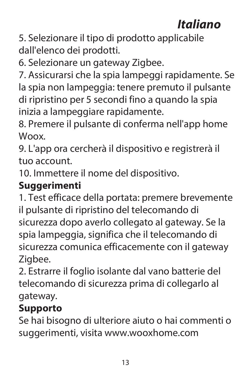# **Italiano**

5. Selezionare il tipo di prodotto applicabile dall'elenco dei prodotti.

6. Selezionare un gateway Zigbee.

7. Assicurarsi che la spia lampeggi rapidamente. Se la spia non lampeggia: tenere premuto il pulsante di ripristino per 5 secondi fino a quando la spia inizia a lampeggiare rapidamente.

8. Premere il pulsante di conferma nell'app home Woox.

9. L'app ora cercherà il dispositivo e registrerà il tuo account.

10. Immettere il nome del dispositivo.

#### **Suggerimenti**

1. Test efficace della portata: premere brevemente il pulsante di ripristino del telecomando di sicurezza dopo averlo collegato al gateway. Se la spia lampeggia, significa che il telecomando di sicurezza comunica efficacemente con il gateway Zigbee.

2. Estrarre il foglio isolante dal vano batterie del telecomando di sicurezza prima di collegarlo al gateway.

#### **Supporto**

Se hai bisogno di ulteriore aiuto o hai commenti o suggerimenti, visita www.wooxhome.com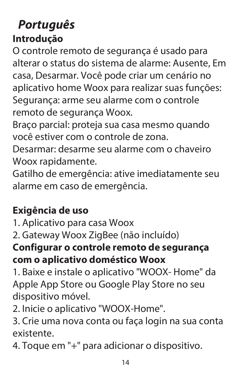### **Português Introdução**

O controle remoto de segurança é usado para alterar o status do sistema de alarme: Ausente, Em casa, Desarmar. Você pode criar um cenário no aplicativo home Woox para realizar suas funções: Segurança: arme seu alarme com o controle remoto de segurança Woox.

Braço parcial: proteja sua casa mesmo quando você estiver com o controle de zona.

Desarmar: desarme seu alarme com o chaveiro Woox rapidamente.

Gatilho de emergência: ative imediatamente seu alarme em caso de emergência.

#### **Exigência de uso**

1. Aplicativo para casa Woox

2. Gateway Woox ZigBee (não incluído)

#### **Configurar o controle remoto de segurança com o aplicativo doméstico Woox**

1. Baixe e instale o aplicativo "WOOX- Home" da Apple App Store ou Google Play Store no seu dispositivo móvel.

2. Inicie o aplicativo "WOOX-Home".

3. Crie uma nova conta ou faça login na sua conta existente.

4. Toque em "+" para adicionar o dispositivo.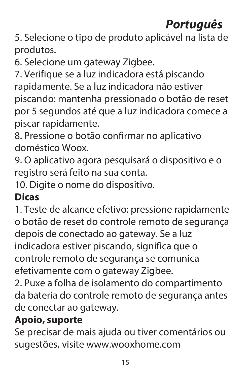# **Português**

5. Selecione o tipo de produto aplicável na lista de produtos.

6. Selecione um gateway Zigbee.

7. Verifique se a luz indicadora está piscando rapidamente. Se a luz indicadora não estiver piscando: mantenha pressionado o botão de reset por 5 segundos até que a luz indicadora comece a piscar rapidamente.

8. Pressione o botão confirmar no aplicativo doméstico Woox.

9. O aplicativo agora pesquisará o dispositivo e o registro será feito na sua conta.

10. Digite o nome do dispositivo.

#### **Dicas**

1. Teste de alcance efetivo: pressione rapidamente o botão de reset do controle remoto de segurança depois de conectado ao gateway. Se a luz indicadora estiver piscando, significa que o controle remoto de segurança se comunica efetivamente com o gateway Zigbee.

2. Puxe a folha de isolamento do compartimento da bateria do controle remoto de segurança antes de conectar ao gateway.

#### **Apoio, suporte**

Se precisar de mais ajuda ou tiver comentários ou sugestões, visite www.wooxhome.com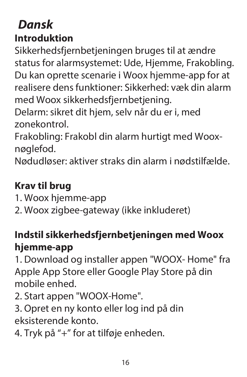# **Dansk**

#### **Introduktion**

Sikkerhedsfjernbetjeningen bruges til at ændre status for alarmsystemet: Ude, Hjemme, Frakobling. Du kan oprette scenarie i Woox hjemme-app for at realisere dens funktioner: Sikkerhed: væk din alarm med Woox sikkerhedsfjernbetjening.

Delarm: sikret dit hjem, selv når du er i, med zonekontrol.

Frakobling: Frakobl din alarm hurtigt med Wooxnøglefod.

Nødudløser: aktiver straks din alarm i nødstilfælde.

#### **Krav til brug**

- 1. Woox hjemme-app
- 2. Woox zigbee-gateway (ikke inkluderet)

#### **Indstil sikkerhedsfjernbetjeningen med Woox hjemme-app**

1. Download og installer appen "WOOX- Home" fra Apple App Store eller Google Play Store på din mobile enhed.

2. Start appen "WOOX-Home".

3. Opret en ny konto eller log ind på din eksisterende konto.

4. Tryk på "+" for at tilføje enheden.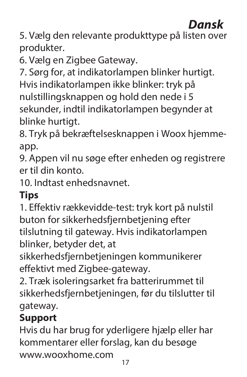### **Dansk**

5. Vælg den relevante produkttype på listen over produkter.

6. Vælg en Zigbee Gateway.

7. Sørg for, at indikatorlampen blinker hurtigt.

Hvis indikatorlampen ikke blinker: tryk på nulstillingsknappen og hold den nede i 5 sekunder, indtil indikatorlampen begynder at blinke hurtigt.

8. Tryk på bekræftelsesknappen i Woox hjemmeapp.

9. Appen vil nu søge efter enheden og registrere er til din konto.

10. Indtast enhedsnavnet.

#### **Tips**

1. Effektiv rækkevidde-test: tryk kort på nulstil buton for sikkerhedsfjernbetjening efter tilslutning til gateway. Hvis indikatorlampen blinker, betyder det, at

sikkerhedsfjernbetjeningen kommunikerer effektivt med Zigbee-gateway.

2. Træk isoleringsarket fra batterirummet til sikkerhedsfjernbetjeningen, før du tilslutter til gateway.

#### **Support**

17 Hvis du har brug for yderligere hjælp eller har kommentarer eller forslag, kan du besøge www.wooxhome.com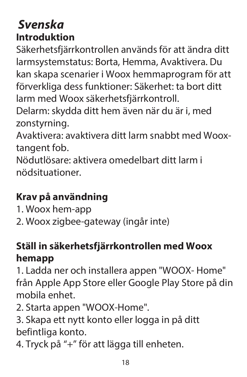#### **Svenska Introduktion**

Säkerhetsfjärrkontrollen används för att ändra ditt larmsystemstatus: Borta, Hemma, Avaktivera. Du kan skapa scenarier i Woox hemmaprogram för att förverkliga dess funktioner: Säkerhet: ta bort ditt larm med Woox säkerhetsfjärrkontroll.

Delarm: skydda ditt hem även när du är i, med zonstyrning.

Avaktivera: avaktivera ditt larm snabbt med Wooxtangent fob.

Nödutlösare: aktivera omedelbart ditt larm i nödsituationer.

#### **Krav på användning**

1. Woox hem-app

2. Woox zigbee-gateway (ingår inte)

#### **Ställ in säkerhetsfjärrkontrollen med Woox hemapp**

1. Ladda ner och installera appen "WOOX- Home" från Apple App Store eller Google Play Store på din mobila enhet.

2. Starta appen "WOOX-Home".

3. Skapa ett nytt konto eller logga in på ditt befintliga konto.

4. Tryck på "+" för att lägga till enheten.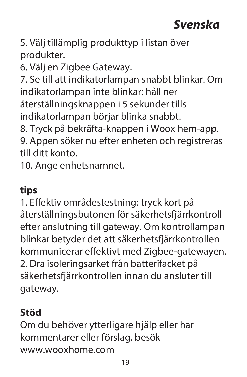## **Svenska**

5. Välj tillämplig produkttyp i listan över produkter.

6. Välj en Zigbee Gateway.

7. Se till att indikatorlampan snabbt blinkar. Om indikatorlampan inte blinkar: håll ner återställningsknappen i 5 sekunder tills indikatorlampan börjar blinka snabbt.

8. Tryck på bekräfta-knappen i Woox hem-app.

9. Appen söker nu efter enheten och registreras till ditt konto.

10. Ange enhetsnamnet.

#### **tips**

1. Effektiv områdestestning: tryck kort på återställningsbutonen för säkerhetsfjärrkontroll efter anslutning till gateway. Om kontrollampan blinkar betyder det att säkerhetsfjärrkontrollen kommunicerar effektivt med Zigbee-gatewayen. 2. Dra isoleringsarket från batterifacket på säkerhetsfjärrkontrollen innan du ansluter till gateway.

#### **Stöd**

Om du behöver ytterligare hjälp eller har kommentarer eller förslag, besök www.wooxhome.com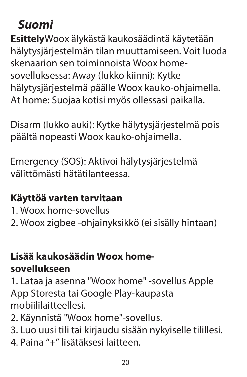### **Suomi**

**Esittely**Woox älykästä kaukosäädintä käytetään hälytysjärjestelmän tilan muuttamiseen. Voit luoda skenaarion sen toiminnoista Woox homesovelluksessa: Away (lukko kiinni): Kytke hälytysjärjestelmä päälle Woox kauko-ohjaimella. At home: Suojaa kotisi myös ollessasi paikalla.

Disarm (lukko auki): Kytke hälytysjärjestelmä pois päältä nopeasti Woox kauko-ohjaimella.

Emergency (SOS): Aktivoi hälytysjärjestelmä välittömästi hätätilanteessa.

#### **Käyttöä varten tarvitaan**

- 1. Woox home-sovellus
- 2. Woox zigbee -ohjainyksikkö (ei sisälly hintaan)

#### **Lisää kaukosäädin Woox homesovellukseen**

1. Lataa ja asenna "Woox home" -sovellus Apple App Storesta tai Google Play-kaupasta mobiililaitteellesi.

- 2. Käynnistä "Woox home"-sovellus.
- 3. Luo uusi tili tai kirjaudu sisään nykyiselle tilillesi.
- 4. Paina "+" lisätäksesi laitteen.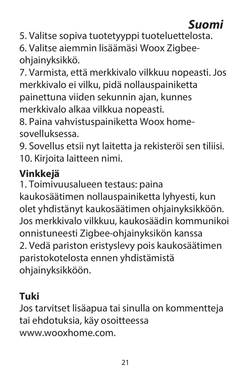5. Valitse sopiva tuotetyyppi tuoteluettelosta. 6. Valitse aiemmin lisäämäsi Woox Zigbeeohjainyksikkö.

7. Varmista, että merkkivalo vilkkuu nopeasti. Jos merkkivalo ei vilku, pidä nollauspainiketta painettuna viiden sekunnin ajan, kunnes merkkivalo alkaa vilkkua nopeasti.

8. Paina vahvistuspainiketta Woox homesovelluksessa.

9. Sovellus etsii nyt laitetta ja rekisteröi sen tiliisi. 10. Kirjoita laitteen nimi.

#### **Vinkkejä**

1. Toimivuusalueen testaus: paina

kaukosäätimen nollauspainiketta lyhyesti, kun olet yhdistänyt kaukosäätimen ohjainyksikköön. Jos merkkivalo vilkkuu, kaukosäädin kommunikoi onnistuneesti Zigbee-ohjainyksikön kanssa 2. Vedä pariston eristyslevy pois kaukosäätimen paristokotelosta ennen yhdistämistä ohjainyksikköön.

#### **Tuki**

Jos tarvitset lisäapua tai sinulla on kommentteja tai ehdotuksia, käy osoitteessa www.wooxhome.com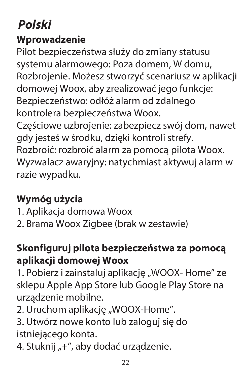# **Polski**

#### **Wprowadzenie**

Pilot bezpieczeństwa służy do zmiany statusu systemu alarmowego: Poza domem, W domu, Rozbrojenie. Możesz stworzyć scenariusz w aplikacji domowej Woox, aby zrealizować jego funkcje: Bezpieczeństwo: odłóż alarm od zdalnego kontrolera bezpieczeństwa Woox. Częściowe uzbrojenie: zabezpiecz swój dom, nawet gdy jesteś w środku, dzięki kontroli strefy. Rozbroić: rozbroić alarm za pomocą pilota Woox. Wyzwalacz awaryjny: natychmiast aktywuj alarm w razie wypadku.

#### **Wymóg użycia**

- 1. Aplikacja domowa Woox
- 2. Brama Woox Zigbee (brak w zestawie)

#### **Skonfiguruj pilota bezpieczeństwa za pomocą aplikacji domowej Woox**

1. Pobierz i zainstaluj aplikację "WOOX- Home" ze sklepu Apple App Store lub Google Play Store na urządzenie mobilne.

- 2. Uruchom aplikację "WOOX-Home".
- 3. Utwórz nowe konto lub zaloguj się do istniejącego konta.
- 4. Stuknij "+", aby dodać urządzenie.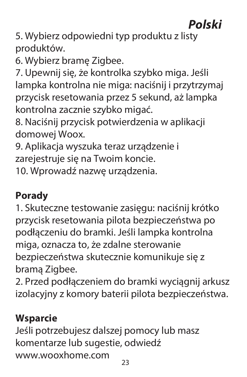# **Polski**

5. Wybierz odpowiedni typ produktu z listy produktów.

6. Wybierz bramę Zigbee.

7. Upewnij się, że kontrolka szybko miga. Jeśli lampka kontrolna nie miga: naciśnij i przytrzymaj przycisk resetowania przez 5 sekund, aż lampka kontrolna zacznie szybko migać.

8. Naciśnij przycisk potwierdzenia w aplikacji domowej Woox.

9. Aplikacja wyszuka teraz urządzenie i zarejestruje się na Twoim koncie.

10. Wprowadź nazwę urządzenia.

#### **Porady**

1. Skuteczne testowanie zasięgu: naciśnij krótko przycisk resetowania pilota bezpieczeństwa po podłączeniu do bramki. Jeśli lampka kontrolna miga, oznacza to, że zdalne sterowanie bezpieczeństwa skutecznie komunikuje się z bramą Zigbee.

2. Przed podłączeniem do bramki wyciągnij arkusz izolacyjny z komory baterii pilota bezpieczeństwa.

#### **Wsparcie**

 $23$ Jeśli potrzebujesz dalszej pomocy lub masz komentarze lub sugestie, odwiedź www.wooxhome.com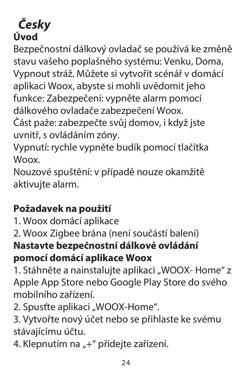#### **Česky Úvod**

Bezpečnostní dálkový ovladač se používá ke změně stavu vašeho poplašného systému: Venku, Doma, Vypnout stráž. Můžete si vytvořit scénář v domácí aplikaci Woox, abyste si mohli uvědomit jeho funkce: Zabezpečení: vypněte alarm pomocí dálkového ovladače zabezpečení Woox.

Část paže: zabezpečte svůj domov, i když jste uvnitř, s ovládáním zóny.

Vypnutí: rychle vypněte budík pomocí tlačítka Woox.

Nouzové spuštění: v případě nouze okamžitě aktivujte alarm.

#### **Požadavek na použití**

1. Woox domácí aplikace

2. Woox Zigbee brána (není součástí balení) **Nastavte bezpečnostní dálkové ovládání pomocí domácí aplikace Woox**

1. Stáhněte a nainstaluite aplikaci "WOOX- Home" z Apple App Store nebo Google Play Store do svého mobilního zařízení.

2. Spusťte aplikaci "WOOX-Home".

3. Vytvořte nový účet nebo se přihlaste ke svému stávajícímu účtu.

4. Klepnutím na "+" přidejte zařízení.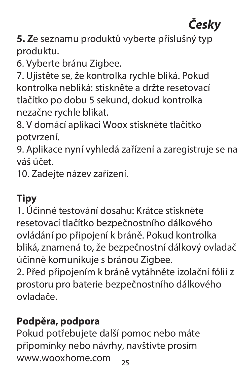# **Česky**

**5. Z**e seznamu produktů vyberte příslušný typ produktu.

6. Vyberte bránu Zigbee.

7. Ujistěte se, že kontrolka rychle bliká. Pokud kontrolka nebliká: stiskněte a držte resetovací tlačítko po dobu 5 sekund, dokud kontrolka nezačne rychle blikat.

8. V domácí aplikaci Woox stiskněte tlačítko potvrzení.

9. Aplikace nyní vyhledá zařízení a zaregistruje se na váš účet.

10. Zadejte název zařízení.

#### **Tipy**

1. Účinné testování dosahu: Krátce stiskněte resetovací tlačítko bezpečnostního dálkového ovládání po připojení k bráně. Pokud kontrolka bliká, znamená to, že bezpečnostní dálkový ovladač účinně komunikuje s bránou Zigbee.

2. Před připojením k bráně vytáhněte izolační fólii z prostoru pro baterie bezpečnostního dálkového ovladače.

#### **Podpěra, podpora**

25 Pokud potřebujete další pomoc nebo máte připomínky nebo návrhy, navštivte prosím www.wooxhome.com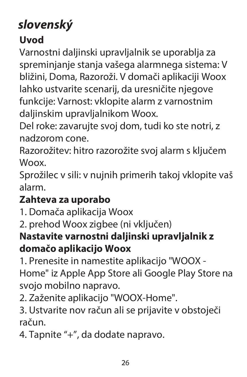# **slovenský**

#### **Uvod**

Varnostni daljinski upravljalnik se uporablja za spreminjanje stanja vašega alarmnega sistema: V bližini, Doma, Razoroži. V domači aplikaciji Woox lahko ustvarite scenarij, da uresničite njegove funkcije: Varnost: vklopite alarm z varnostnim daljinskim upravljalnikom Woox.

Del roke: zavarujte svoj dom, tudi ko ste notri, z nadzorom cone.

Razorožitev: hitro razorožite svoj alarm s ključem Woox.

Sprožilec v sili: v nujnih primerih takoj vklopite vaš alarm.

#### **Zahteva za uporabo**

1. Domača aplikacija Woox

2. prehod Woox zigbee (ni vključen)

#### **Nastavite varnostni daljinski upravljalnik z domačo aplikacijo Woox**

1. Prenesite in namestite aplikacijo "WOOX - Home" iz Apple App Store ali Google Play Store na svojo mobilno napravo.

2. Zaženite aplikacijo "WOOX-Home".

3. Ustvarite nov račun ali se prijavite v obstoječi račun.

4. Tapnite "+", da dodate napravo.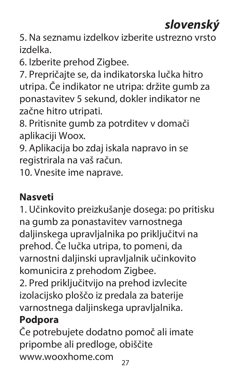# **slovenský**

5. Na seznamu izdelkov izberite ustrezno vrsto izdelka.

6. Izberite prehod Zigbee.

7. Prepričajte se, da indikatorska lučka hitro utripa. Če indikator ne utripa: držite gumb za ponastavitev 5 sekund, dokler indikator ne začne hitro utripati.

8. Pritisnite gumb za potrditev v domači aplikaciji Woox.

9. Aplikacija bo zdaj iskala napravo in se registrirala na vaš račun.

10. Vnesite ime naprave.

#### **Nasveti**

1. Učinkovito preizkušanje dosega: po pritisku na gumb za ponastavitev varnostnega daljinskega upravljalnika po priključitvi na prehod. Če lučka utripa, to pomeni, da varnostni daljinski upravljalnik učinkovito komunicira z prehodom Zigbee.

2. Pred priključitvijo na prehod izvlecite izolacijsko ploščo iz predala za baterije varnostnega daljinskega upravljalnika.

#### **Podpora**

Če potrebujete dodatno pomoč ali imate pripombe ali predloge, obiščite www.wooxhome.com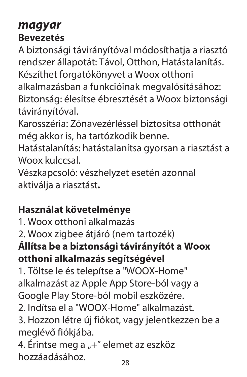#### **magyar Bevezetés**

A biztonsági távirányítóval módosíthatja a riasztó rendszer állapotát: Távol, Otthon, Hatástalanítás. Készíthet forgatókönyvet a Woox otthoni alkalmazásban a funkcióinak megvalósításához: Biztonság: élesítse ébresztését a Woox biztonsági távirányítóval.

Karosszéria: Zónavezérléssel biztosítsa otthonát még akkor is, ha tartózkodik benne.

Hatástalanítás: hatástalanítsa gyorsan a riasztást a Woox kulccsal

Vészkapcsoló: vészhelyzet esetén azonnal aktiválja a riasztást**.** 

#### **Használat követelménye**

1. Woox otthoni alkalmazás

2. Woox zigbee átjáró (nem tartozék)

#### **Állítsa be a biztonsági távirányítót a Woox otthoni alkalmazás segítségével**

1. Töltse le és telepítse a "WOOX-Home" alkalmazást az Apple App Store-ból vagy a Google Play Store-ból mobil eszközére.

2. Indítsa el a "WOOX-Home" alkalmazást.

3. Hozzon létre új fiókot, vagy jelentkezzen be a meglévő fiókjába.

4. Érintse meg a "+" elemet az eszköz hozzáadásához.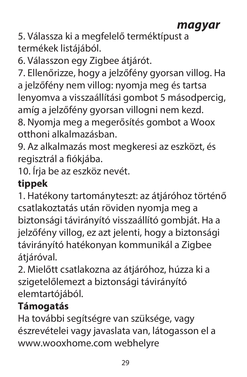#### **magyar**

5. Válassza ki a megfelelő terméktípust a termékek listájából.

6. Válasszon egy Zigbee átjárót.

7. Ellenőrizze, hogy a jelzőfény gyorsan villog. Ha a jelzőfény nem villog: nyomja meg és tartsa lenyomva a visszaállítási gombot 5 másodpercig, amíg a jelzőfény gyorsan villogni nem kezd. 8. Nyomja meg a megerősítés gombot a Woox

otthoni alkalmazásban.

9. Az alkalmazás most megkeresi az eszközt, és regisztrál a fiókjába.

10. Írja be az eszköz nevét.

#### **tippek**

1. Hatékony tartományteszt: az átjáróhoz történő csatlakoztatás után röviden nyomja meg a biztonsági távirányító visszaállító gombját. Ha a jelzőfény villog, ez azt jelenti, hogy a biztonsági távirányító hatékonyan kommunikál a Zigbee átiáróval.

2. Mielőtt csatlakozna az átjáróhoz, húzza ki a szigetelőlemezt a biztonsági távirányító elemtartójából.

### **Támogatás**

Ha további segítségre van szüksége, vagy észrevételei vagy javaslata van, látogasson el a www.wooxhome.com webhelyre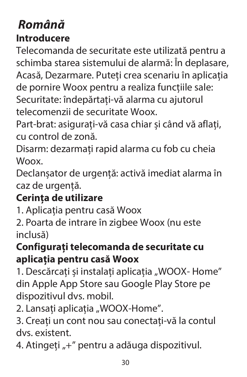### **Română Introducere**

Telecomanda de securitate este utilizată pentru a schimba starea sistemului de alarmă: În deplasare, Acasă, Dezarmare. Puteți crea scenariu în aplicația de pornire Woox pentru a realiza funcțiile sale: Securitate: îndepărtați-vă alarma cu ajutorul

telecomenzii de securitate Woox.

Part-brat: asigurați-vă casa chiar și când vă aflați, cu control de zonă.

Disarm: dezarmați rapid alarma cu fob cu cheia Woox.

Declanșator de urgență: activă imediat alarma în caz de urgență.

#### **Cerința de utilizare**

1. Aplicația pentru casă Woox

2. Poarta de intrare în zigbee Woox (nu este inclusă)

#### **Configurați telecomanda de securitate cu aplicația pentru casă Woox**

1. Descărcați și instalați aplicația "WOOX- Home" din Apple App Store sau Google Play Store pe dispozitivul dvs. mobil.

2. Lansați aplicația "WOOX-Home".

3. Creați un cont nou sau conectați-vă la contul dvs. existent.

4. Atingeti "+" pentru a adăuga dispozitivul.